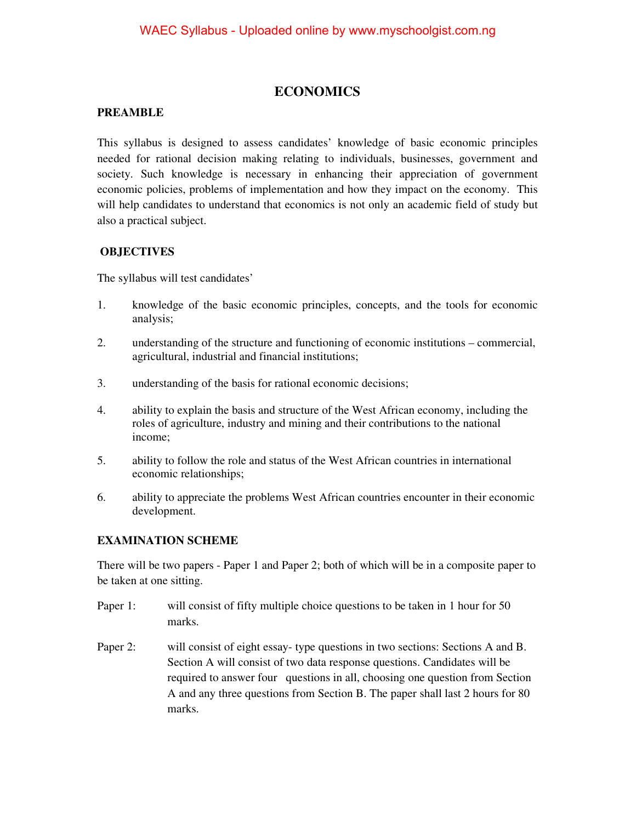# **ECONOMICS**

### **PREAMBLE**

This syllabus is designed to assess candidates' knowledge of basic economic principles needed for rational decision making relating to individuals, businesses, government and society. Such knowledge is necessary in enhancing their appreciation of government economic policies, problems of implementation and how they impact on the economy. This will help candidates to understand that economics is not only an academic field of study but also a practical subject.

### **OBJECTIVES**

The syllabus will test candidates'

- 1. knowledge of the basic economic principles, concepts, and the tools for economic analysis;
- 2. understanding of the structure and functioning of economic institutions commercial, agricultural, industrial and financial institutions;
- 3. understanding of the basis for rational economic decisions;
- 4. ability to explain the basis and structure of the West African economy, including the roles of agriculture, industry and mining and their contributions to the national income;
- 5. ability to follow the role and status of the West African countries in international economic relationships;
- 6. ability to appreciate the problems West African countries encounter in their economic development.

### **EXAMINATION SCHEME**

There will be two papers - Paper 1 and Paper 2; both of which will be in a composite paper to be taken at one sitting.

- Paper 1: will consist of fifty multiple choice questions to be taken in 1 hour for 50 marks.
- Paper 2: will consist of eight essay- type questions in two sections: Sections A and B. Section A will consist of two data response questions. Candidates will be required to answer four questions in all, choosing one question from Section A and any three questions from Section B. The paper shall last 2 hours for 80 marks.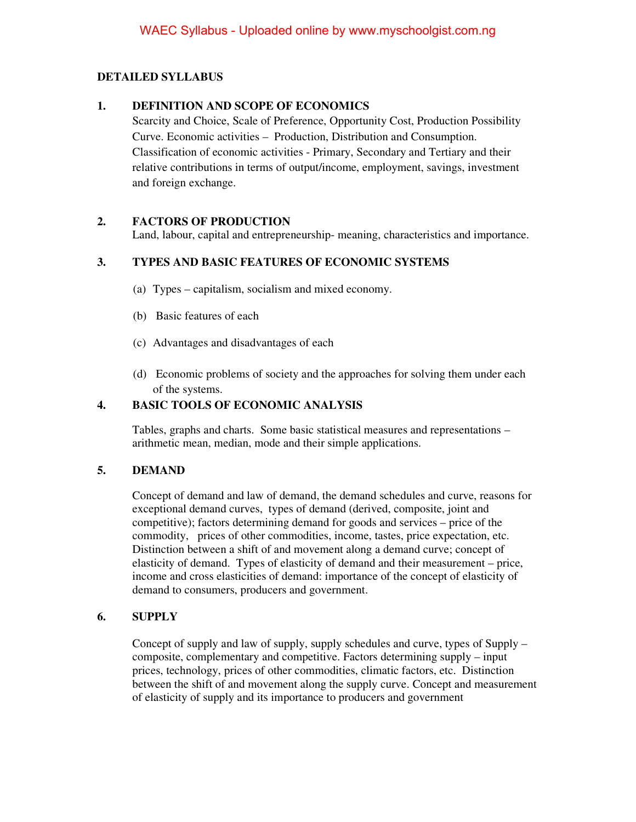# **DETAILED SYLLABUS**

### **1. DEFINITION AND SCOPE OF ECONOMICS**

Scarcity and Choice, Scale of Preference, Opportunity Cost, Production Possibility Curve. Economic activities – Production, Distribution and Consumption. Classification of economic activities - Primary, Secondary and Tertiary and their relative contributions in terms of output/income, employment, savings, investment and foreign exchange.

# **2. FACTORS OF PRODUCTION**

Land, labour, capital and entrepreneurship- meaning, characteristics and importance.

# **3. TYPES AND BASIC FEATURES OF ECONOMIC SYSTEMS**

- (a) Types capitalism, socialism and mixed economy.
- (b) Basic features of each
- (c) Advantages and disadvantages of each
- (d) Economic problems of society and the approaches for solving them under each of the systems.

## **4. BASIC TOOLS OF ECONOMIC ANALYSIS**

Tables, graphs and charts. Some basic statistical measures and representations – arithmetic mean, median, mode and their simple applications.

### **5. DEMAND**

Concept of demand and law of demand, the demand schedules and curve, reasons for exceptional demand curves, types of demand (derived, composite, joint and competitive); factors determining demand for goods and services – price of the commodity,prices of other commodities, income, tastes, price expectation, etc. Distinction between a shift of and movement along a demand curve; concept of elasticity of demand. Types of elasticity of demand and their measurement – price, income and cross elasticities of demand: importance of the concept of elasticity of demand to consumers, producers and government.

### **6. SUPPLY**

Concept of supply and law of supply, supply schedules and curve, types of Supply – composite, complementary and competitive. Factors determining supply – input prices, technology, prices of other commodities, climatic factors, etc. Distinction between the shift of and movement along the supply curve. Concept and measurement of elasticity of supply and its importance to producers and government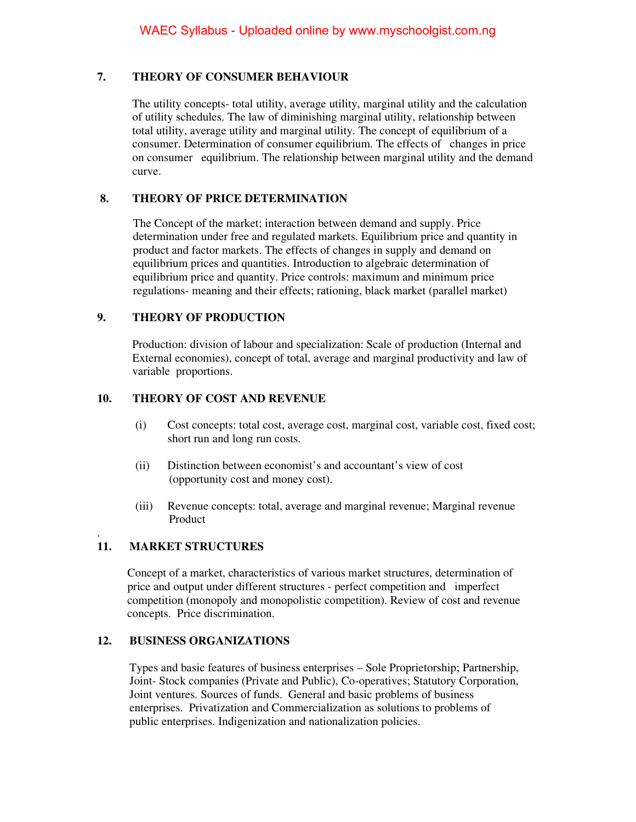### **7. THEORY OF CONSUMER BEHAVIOUR**

The utility concepts- total utility, average utility, marginal utility and the calculation of utility schedules. The law of diminishing marginal utility, relationship between total utility, average utility and marginal utility. The concept of equilibrium of a consumer. Determination of consumer equilibrium. The effects of changes in price on consumer equilibrium. The relationship between marginal utility and the demand curve.

### **8. THEORY OF PRICE DETERMINATION**

The Concept of the market; interaction between demand and supply. Price determination under free and regulated markets. Equilibrium price and quantity in product and factor markets. The effects of changes in supply and demand on equilibrium prices and quantities. Introduction to algebraic determination of equilibrium price and quantity. Price controls: maximum and minimum price regulations- meaning and their effects; rationing, black market (parallel market)

### **9. THEORY OF PRODUCTION**

Production: division of labour and specialization: Scale of production (Internal and External economies), concept of total, average and marginal productivity and law of variable proportions.

#### **10. THEORY OF COST AND REVENUE**

- (i) Cost concepts: total cost, average cost, marginal cost, variable cost, fixed cost; short run and long run costs.
- (ii) Distinction between economist's and accountant's view of cost (opportunity cost and money cost).
- (iii) Revenue concepts: total, average and marginal revenue; Marginal revenue Product

#### . **11. MARKET STRUCTURES**

 Concept of a market, characteristics of various market structures, determination of price and output under different structures - perfect competition and imperfect competition (monopoly and monopolistic competition). Review of cost and revenue concepts. Price discrimination.

#### **12. BUSINESS ORGANIZATIONS**

 Types and basic features of business enterprises – Sole Proprietorship; Partnership, Joint- Stock companies (Private and Public), Co-operatives; Statutory Corporation, Joint ventures. Sources of funds. General and basic problems of business enterprises. Privatization and Commercialization as solutions to problems of public enterprises. Indigenization and nationalization policies.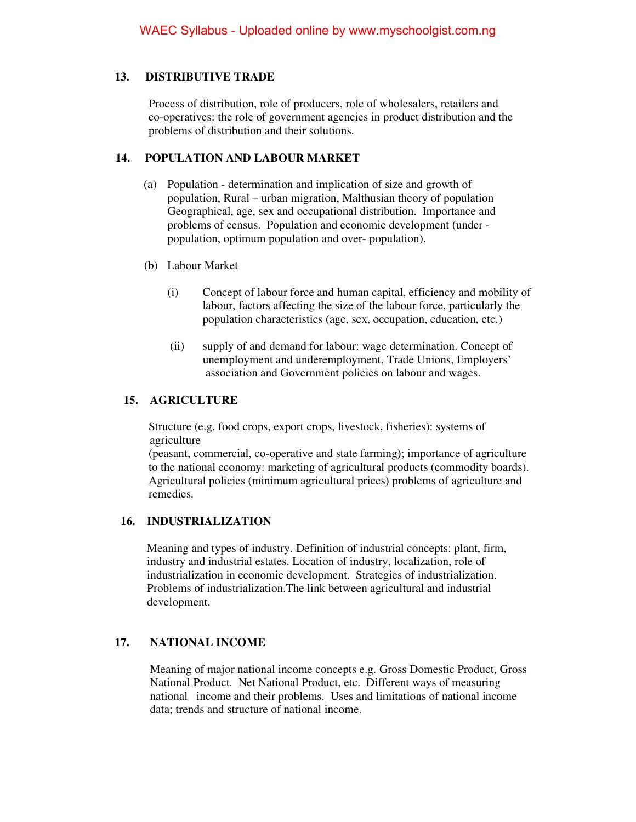# **13. DISTRIBUTIVE TRADE**

 Process of distribution, role of producers, role of wholesalers, retailers and co-operatives: the role of government agencies in product distribution and the problems of distribution and their solutions.

### **14. POPULATION AND LABOUR MARKET**

- (a) Population determination and implication of size and growth of population, Rural – urban migration, Malthusian theory of population Geographical, age, sex and occupational distribution. Importance and problems of census. Population and economic development (under population, optimum population and over- population).
- (b) Labour Market
	- (i) Concept of labour force and human capital, efficiency and mobility of labour, factors affecting the size of the labour force, particularly the population characteristics (age, sex, occupation, education, etc.)
	- (ii) supply of and demand for labour: wage determination. Concept of unemployment and underemployment, Trade Unions, Employers' association and Government policies on labour and wages.

### **15. AGRICULTURE**

 Structure (e.g. food crops, export crops, livestock, fisheries): systems of agriculture

 (peasant, commercial, co-operative and state farming); importance of agriculture to the national economy: marketing of agricultural products (commodity boards). Agricultural policies (minimum agricultural prices) problems of agriculture and remedies.

### **16. INDUSTRIALIZATION**

 Meaning and types of industry. Definition of industrial concepts: plant, firm, industry and industrial estates. Location of industry, localization, role of industrialization in economic development. Strategies of industrialization. Problems of industrialization.The link between agricultural and industrial development.

### **17. NATIONAL INCOME**

 Meaning of major national income concepts e.g. Gross Domestic Product, Gross National Product. Net National Product, etc. Different ways of measuring national income and their problems. Uses and limitations of national income data; trends and structure of national income.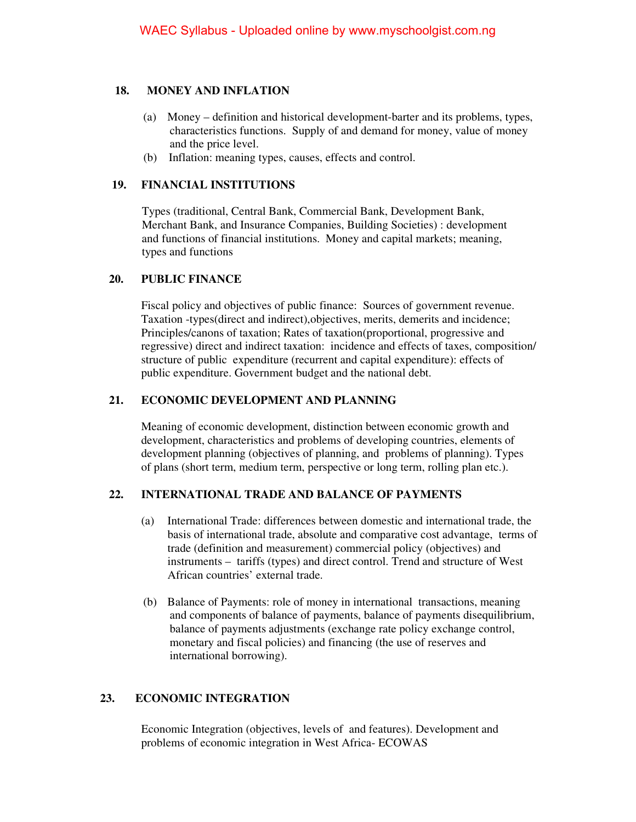### **18. MONEY AND INFLATION**

- (a) Money definition and historical development-barter and its problems, types, characteristics functions. Supply of and demand for money, value of money and the price level.
- (b) Inflation: meaning types, causes, effects and control.

### **19. FINANCIAL INSTITUTIONS**

 Types (traditional, Central Bank, Commercial Bank, Development Bank, Merchant Bank, and Insurance Companies, Building Societies) : development and functions of financial institutions. Money and capital markets; meaning, types and functions

### **20. PUBLIC FINANCE**

 Fiscal policy and objectives of public finance: Sources of government revenue. Taxation -types(direct and indirect),objectives, merits, demerits and incidence; Principles/canons of taxation; Rates of taxation(proportional, progressive and regressive) direct and indirect taxation: incidence and effects of taxes, composition/ structure of public expenditure (recurrent and capital expenditure): effects of public expenditure. Government budget and the national debt.

### **21. ECONOMIC DEVELOPMENT AND PLANNING**

 Meaning of economic development, distinction between economic growth and development, characteristics and problems of developing countries, elements of development planning (objectives of planning, and problems of planning). Types of plans (short term, medium term, perspective or long term, rolling plan etc.).

### **22. INTERNATIONAL TRADE AND BALANCE OF PAYMENTS**

- (a) International Trade: differences between domestic and international trade, the basis of international trade, absolute and comparative cost advantage, terms of trade (definition and measurement) commercial policy (objectives) and instruments – tariffs (types) and direct control. Trend and structure of West African countries' external trade.
- (b) Balance of Payments: role of money in international transactions, meaning and components of balance of payments, balance of payments disequilibrium, balance of payments adjustments (exchange rate policy exchange control, monetary and fiscal policies) and financing (the use of reserves and international borrowing).

### **23. ECONOMIC INTEGRATION**

 Economic Integration (objectives, levels of and features). Development and problems of economic integration in West Africa- ECOWAS